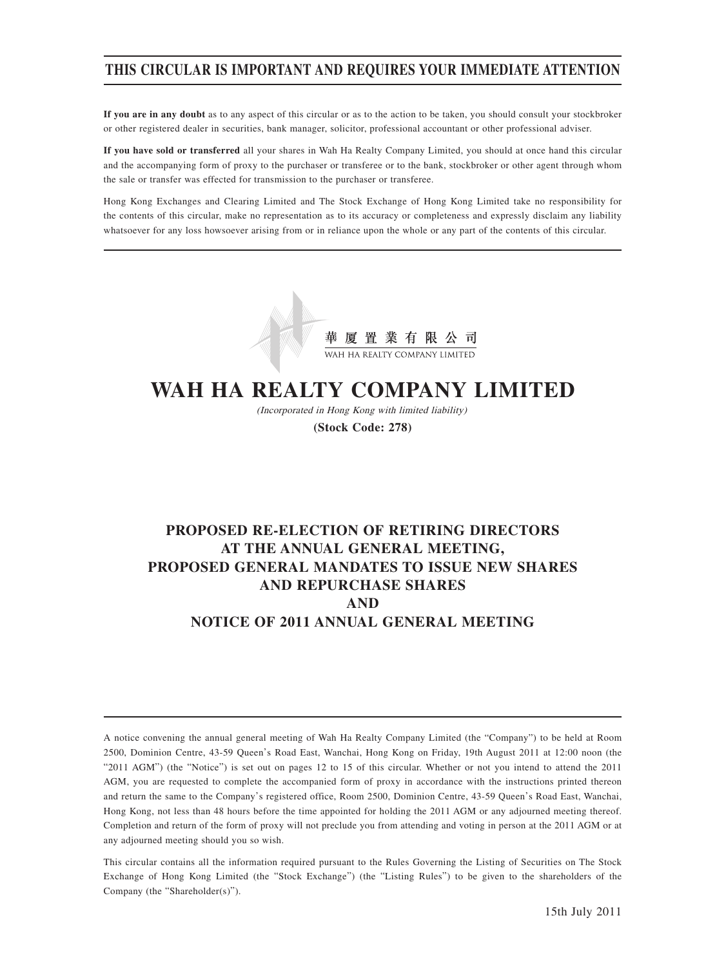## **THIS CIRCULAR IS IMPORTANT AND REQUIRES YOUR IMMEDIATE ATTENTION**

**If you are in any doubt** as to any aspect of this circular or as to the action to be taken, you should consult your stockbroker or other registered dealer in securities, bank manager, solicitor, professional accountant or other professional adviser.

**If you have sold or transferred** all your shares in Wah Ha Realty Company Limited, you should at once hand this circular and the accompanying form of proxy to the purchaser or transferee or to the bank, stockbroker or other agent through whom the sale or transfer was effected for transmission to the purchaser or transferee.

Hong Kong Exchanges and Clearing Limited and The Stock Exchange of Hong Kong Limited take no responsibility for the contents of this circular, make no representation as to its accuracy or completeness and expressly disclaim any liability whatsoever for any loss howsoever arising from or in reliance upon the whole or any part of the contents of this circular.



# **WAH HA REALTY COMPANY LIMITED**

(Incorporated in Hong Kong with limited liability)

**(Stock Code: 278)**

## **PROPOSED RE-ELECTION OF RETIRING DIRECTORS AT THE ANNUAL GENERAL MEETING, PROPOSED GENERAL MANDATES TO ISSUE NEW SHARES AND REPURCHASE SHARES AND NOTICE OF 2011 ANNUAL GENERAL MEETING**

A notice convening the annual general meeting of Wah Ha Realty Company Limited (the "Company") to be held at Room 2500, Dominion Centre, 43-59 Queen's Road East, Wanchai, Hong Kong on Friday, 19th August 2011 at 12:00 noon (the "2011 AGM") (the "Notice") is set out on pages 12 to 15 of this circular. Whether or not you intend to attend the 2011 AGM, you are requested to complete the accompanied form of proxy in accordance with the instructions printed thereon and return the same to the Company's registered office, Room 2500, Dominion Centre, 43-59 Queen's Road East, Wanchai, Hong Kong, not less than 48 hours before the time appointed for holding the 2011 AGM or any adjourned meeting thereof. Completion and return of the form of proxy will not preclude you from attending and voting in person at the 2011 AGM or at any adjourned meeting should you so wish.

This circular contains all the information required pursuant to the Rules Governing the Listing of Securities on The Stock Exchange of Hong Kong Limited (the "Stock Exchange") (the "Listing Rules") to be given to the shareholders of the Company (the "Shareholder(s)").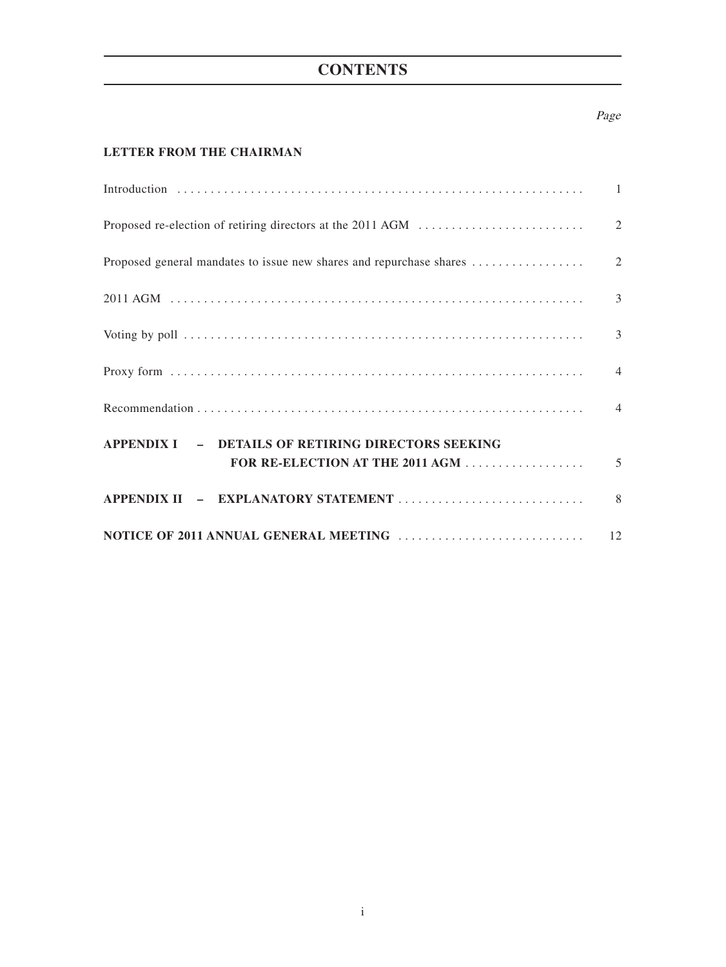# **CONTENTS**

### Page

## **LETTER FROM THE CHAIRMAN**

|                                                    | 3              |
|----------------------------------------------------|----------------|
|                                                    |                |
|                                                    |                |
| APPENDIX I - DETAILS OF RETIRING DIRECTORS SEEKING |                |
|                                                    | $\overline{5}$ |
|                                                    |                |
|                                                    |                |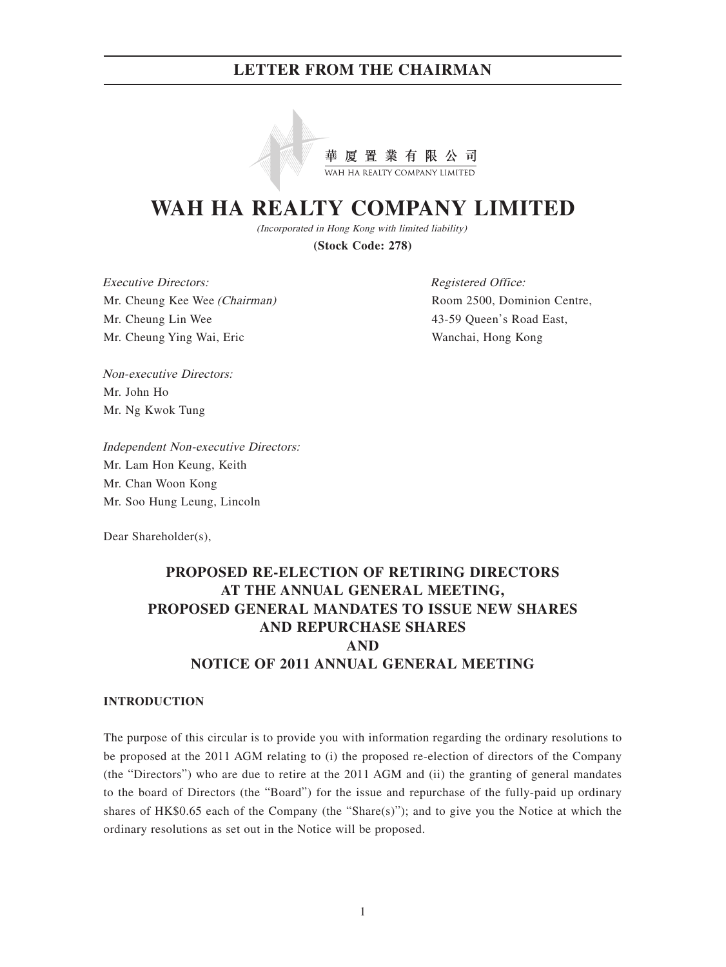

# **WAH HA REALTY COMPANY LIMITED**

(Incorporated in Hong Kong with limited liability)

**(Stock Code: 278)**

Executive Directors: Mr. Cheung Kee Wee (Chairman) Mr. Cheung Lin Wee Mr. Cheung Ying Wai, Eric

Registered Office: Room 2500, Dominion Centre, 43-59 Queen's Road East, Wanchai, Hong Kong

Non-executive Directors: Mr. John Ho Mr. Ng Kwok Tung

Independent Non-executive Directors: Mr. Lam Hon Keung, Keith Mr. Chan Woon Kong Mr. Soo Hung Leung, Lincoln

Dear Shareholder(s),

## **PROPOSED RE-ELECTION OF RETIRING DIRECTORS AT THE ANNUAL GENERAL MEETING, PROPOSED GENERAL MANDATES TO ISSUE NEW SHARES AND REPURCHASE SHARES AND NOTICE OF 2011 ANNUAL GENERAL MEETING**

## **INTRODUCTION**

The purpose of this circular is to provide you with information regarding the ordinary resolutions to be proposed at the 2011 AGM relating to (i) the proposed re-election of directors of the Company (the "Directors") who are due to retire at the 2011 AGM and (ii) the granting of general mandates to the board of Directors (the "Board") for the issue and repurchase of the fully-paid up ordinary shares of  $HK$0.65$  each of the Company (the "Share(s)"); and to give you the Notice at which the ordinary resolutions as set out in the Notice will be proposed.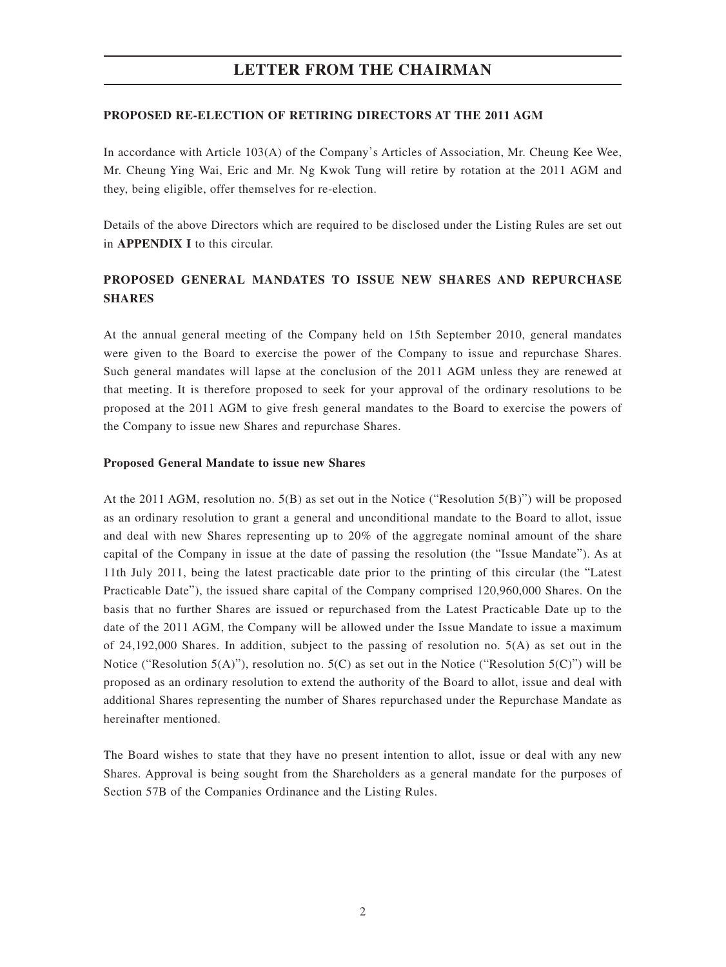### **PROPOSED RE-ELECTION OF RETIRING DIRECTORS AT THE 2011 AGM**

In accordance with Article 103(A) of the Company's Articles of Association, Mr. Cheung Kee Wee, Mr. Cheung Ying Wai, Eric and Mr. Ng Kwok Tung will retire by rotation at the 2011 AGM and they, being eligible, offer themselves for re-election.

Details of the above Directors which are required to be disclosed under the Listing Rules are set out in **APPENDIX I** to this circular.

## **PROPOSED GENERAL MANDATES TO ISSUE NEW SHARES AND REPURCHASE SHARES**

At the annual general meeting of the Company held on 15th September 2010, general mandates were given to the Board to exercise the power of the Company to issue and repurchase Shares. Such general mandates will lapse at the conclusion of the 2011 AGM unless they are renewed at that meeting. It is therefore proposed to seek for your approval of the ordinary resolutions to be proposed at the 2011 AGM to give fresh general mandates to the Board to exercise the powers of the Company to issue new Shares and repurchase Shares.

### **Proposed General Mandate to issue new Shares**

At the 2011 AGM, resolution no. 5(B) as set out in the Notice ("Resolution 5(B)") will be proposed as an ordinary resolution to grant a general and unconditional mandate to the Board to allot, issue and deal with new Shares representing up to 20% of the aggregate nominal amount of the share capital of the Company in issue at the date of passing the resolution (the "Issue Mandate"). As at 11th July 2011, being the latest practicable date prior to the printing of this circular (the "Latest Practicable Date"), the issued share capital of the Company comprised 120,960,000 Shares. On the basis that no further Shares are issued or repurchased from the Latest Practicable Date up to the date of the 2011 AGM, the Company will be allowed under the Issue Mandate to issue a maximum of 24,192,000 Shares. In addition, subject to the passing of resolution no. 5(A) as set out in the Notice ("Resolution  $5(A)$ "), resolution no.  $5(C)$  as set out in the Notice ("Resolution  $5(C)$ ") will be proposed as an ordinary resolution to extend the authority of the Board to allot, issue and deal with additional Shares representing the number of Shares repurchased under the Repurchase Mandate as hereinafter mentioned.

The Board wishes to state that they have no present intention to allot, issue or deal with any new Shares. Approval is being sought from the Shareholders as a general mandate for the purposes of Section 57B of the Companies Ordinance and the Listing Rules.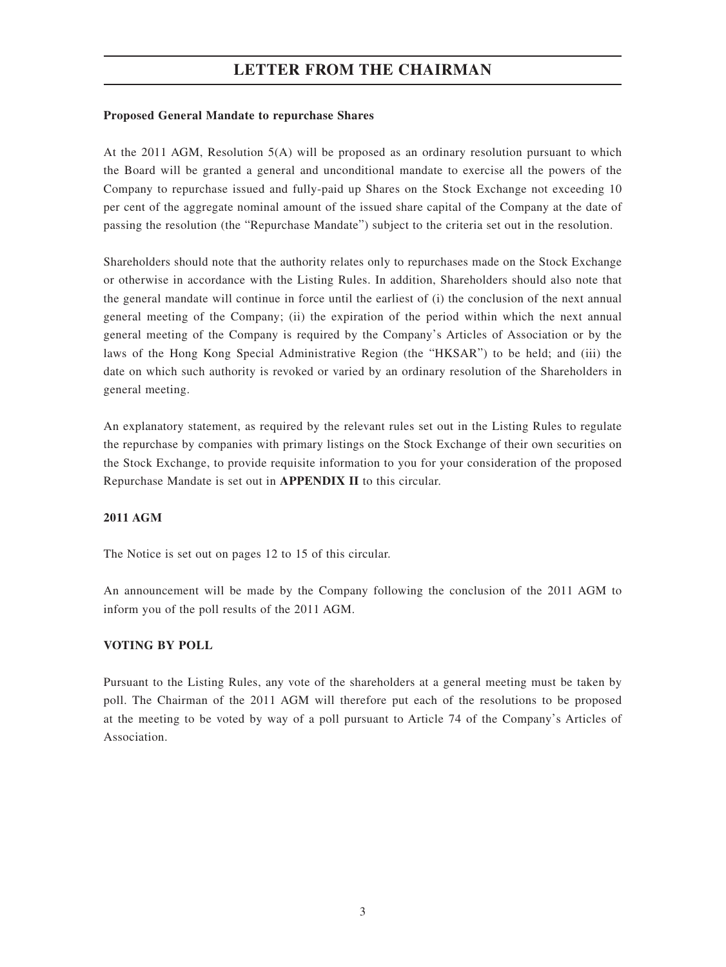### **Proposed General Mandate to repurchase Shares**

At the 2011 AGM, Resolution 5(A) will be proposed as an ordinary resolution pursuant to which the Board will be granted a general and unconditional mandate to exercise all the powers of the Company to repurchase issued and fully-paid up Shares on the Stock Exchange not exceeding 10 per cent of the aggregate nominal amount of the issued share capital of the Company at the date of passing the resolution (the "Repurchase Mandate") subject to the criteria set out in the resolution.

Shareholders should note that the authority relates only to repurchases made on the Stock Exchange or otherwise in accordance with the Listing Rules. In addition, Shareholders should also note that the general mandate will continue in force until the earliest of (i) the conclusion of the next annual general meeting of the Company; (ii) the expiration of the period within which the next annual general meeting of the Company is required by the Company's Articles of Association or by the laws of the Hong Kong Special Administrative Region (the "HKSAR") to be held; and (iii) the date on which such authority is revoked or varied by an ordinary resolution of the Shareholders in general meeting.

An explanatory statement, as required by the relevant rules set out in the Listing Rules to regulate the repurchase by companies with primary listings on the Stock Exchange of their own securities on the Stock Exchange, to provide requisite information to you for your consideration of the proposed Repurchase Mandate is set out in **APPENDIX II** to this circular.

### **2011 AGM**

The Notice is set out on pages 12 to 15 of this circular.

An announcement will be made by the Company following the conclusion of the 2011 AGM to inform you of the poll results of the 2011 AGM.

## **VOTING BY POLL**

Pursuant to the Listing Rules, any vote of the shareholders at a general meeting must be taken by poll. The Chairman of the 2011 AGM will therefore put each of the resolutions to be proposed at the meeting to be voted by way of a poll pursuant to Article 74 of the Company's Articles of Association.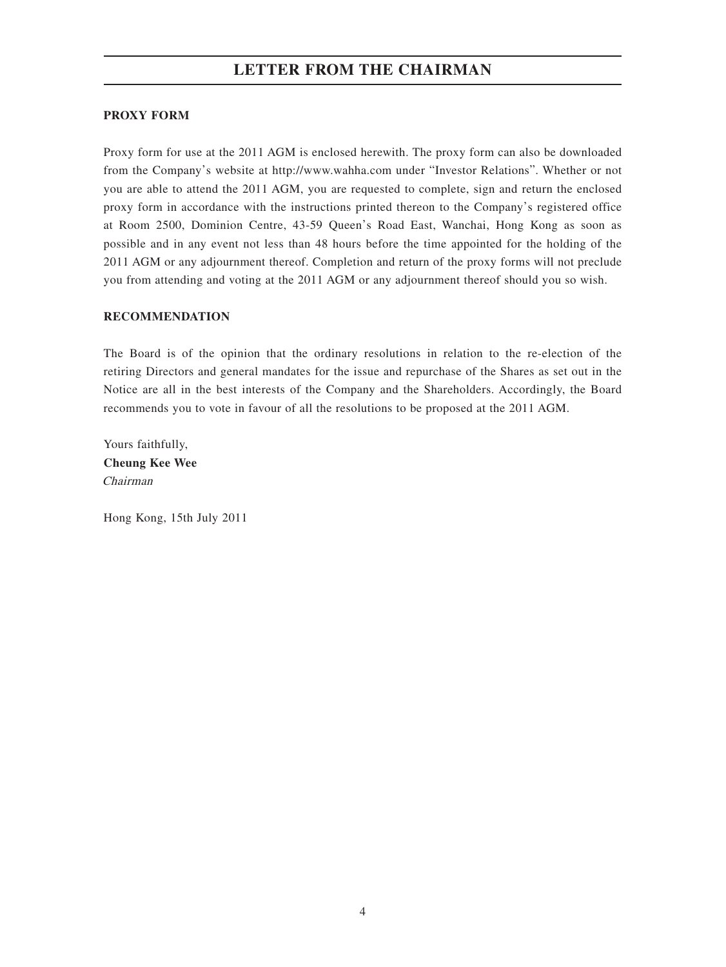## **PROXY FORM**

Proxy form for use at the 2011 AGM is enclosed herewith. The proxy form can also be downloaded from the Company's website at http://www.wahha.com under "Investor Relations". Whether or not you are able to attend the 2011 AGM, you are requested to complete, sign and return the enclosed proxy form in accordance with the instructions printed thereon to the Company's registered office at Room 2500, Dominion Centre, 43-59 Queen's Road East, Wanchai, Hong Kong as soon as possible and in any event not less than 48 hours before the time appointed for the holding of the 2011 AGM or any adjournment thereof. Completion and return of the proxy forms will not preclude you from attending and voting at the 2011 AGM or any adjournment thereof should you so wish.

### **RECOMMENDATION**

The Board is of the opinion that the ordinary resolutions in relation to the re-election of the retiring Directors and general mandates for the issue and repurchase of the Shares as set out in the Notice are all in the best interests of the Company and the Shareholders. Accordingly, the Board recommends you to vote in favour of all the resolutions to be proposed at the 2011 AGM.

Yours faithfully, **Cheung Kee Wee** Chairman

Hong Kong, 15th July 2011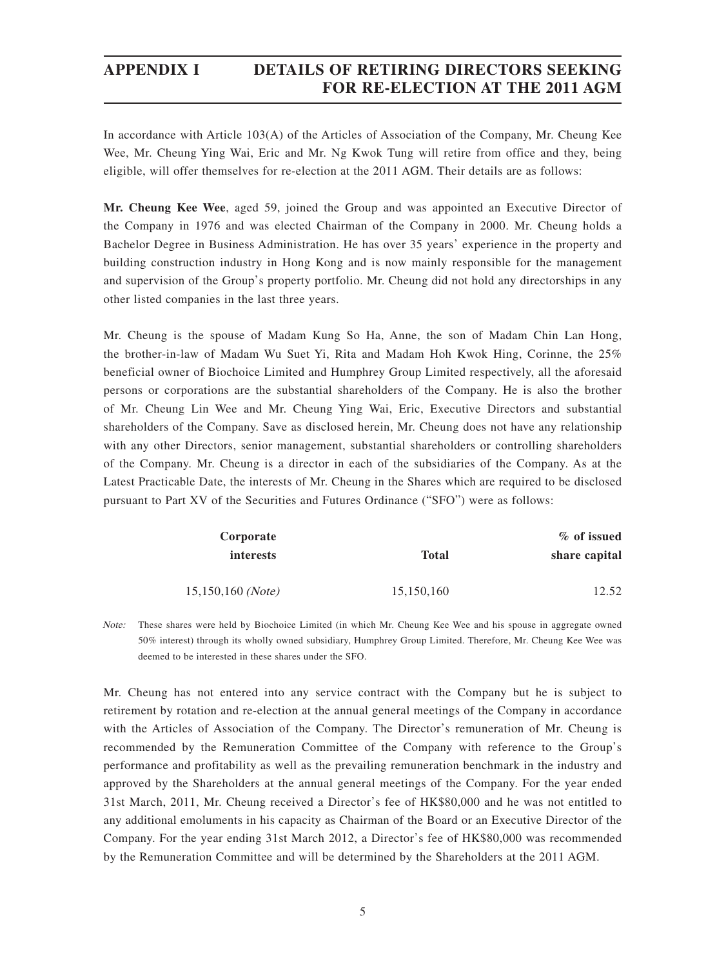## **APPENDIX I DETAILS OF RETIRING DIRECTORS SEEKING FOR RE-ELECTION AT THE 2011 AGM**

In accordance with Article 103(A) of the Articles of Association of the Company, Mr. Cheung Kee Wee, Mr. Cheung Ying Wai, Eric and Mr. Ng Kwok Tung will retire from office and they, being eligible, will offer themselves for re-election at the 2011 AGM. Their details are as follows:

**Mr. Cheung Kee Wee**, aged 59, joined the Group and was appointed an Executive Director of the Company in 1976 and was elected Chairman of the Company in 2000. Mr. Cheung holds a Bachelor Degree in Business Administration. He has over 35 years' experience in the property and building construction industry in Hong Kong and is now mainly responsible for the management and supervision of the Group's property portfolio. Mr. Cheung did not hold any directorships in any other listed companies in the last three years.

Mr. Cheung is the spouse of Madam Kung So Ha, Anne, the son of Madam Chin Lan Hong, the brother-in-law of Madam Wu Suet Yi, Rita and Madam Hoh Kwok Hing, Corinne, the 25% beneficial owner of Biochoice Limited and Humphrey Group Limited respectively, all the aforesaid persons or corporations are the substantial shareholders of the Company. He is also the brother of Mr. Cheung Lin Wee and Mr. Cheung Ying Wai, Eric, Executive Directors and substantial shareholders of the Company. Save as disclosed herein, Mr. Cheung does not have any relationship with any other Directors, senior management, substantial shareholders or controlling shareholders of the Company. Mr. Cheung is a director in each of the subsidiaries of the Company. As at the Latest Practicable Date, the interests of Mr. Cheung in the Shares which are required to be disclosed pursuant to Part XV of the Securities and Futures Ordinance ("SFO") were as follows:

| % of issued   |              | Corporate           |  |  |  |
|---------------|--------------|---------------------|--|--|--|
| share capital | <b>Total</b> | <i>interests</i>    |  |  |  |
| 12.52         | 15,150,160   | $15,150,160$ (Note) |  |  |  |

Note: These shares were held by Biochoice Limited (in which Mr. Cheung Kee Wee and his spouse in aggregate owned 50% interest) through its wholly owned subsidiary, Humphrey Group Limited. Therefore, Mr. Cheung Kee Wee was deemed to be interested in these shares under the SFO.

Mr. Cheung has not entered into any service contract with the Company but he is subject to retirement by rotation and re-election at the annual general meetings of the Company in accordance with the Articles of Association of the Company. The Director's remuneration of Mr. Cheung is recommended by the Remuneration Committee of the Company with reference to the Group's performance and profitability as well as the prevailing remuneration benchmark in the industry and approved by the Shareholders at the annual general meetings of the Company. For the year ended 31st March, 2011, Mr. Cheung received a Director's fee of HK\$80,000 and he was not entitled to any additional emoluments in his capacity as Chairman of the Board or an Executive Director of the Company. For the year ending 31st March 2012, a Director's fee of HK\$80,000 was recommended by the Remuneration Committee and will be determined by the Shareholders at the 2011 AGM.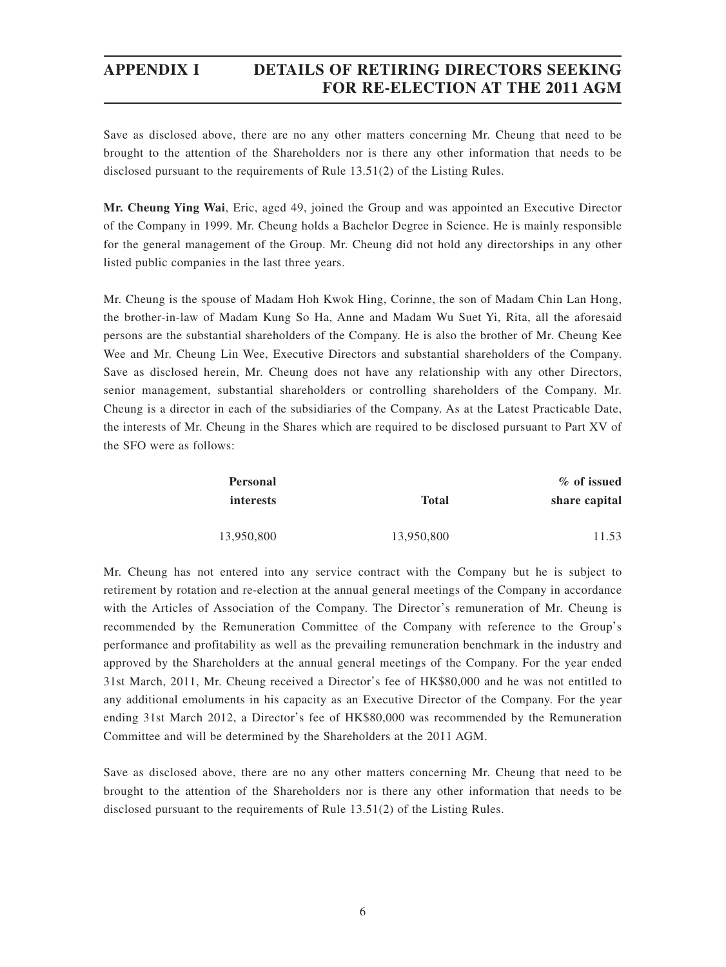## **APPENDIX I DETAILS OF RETIRING DIRECTORS SEEKING FOR RE-ELECTION AT THE 2011 AGM**

Save as disclosed above, there are no any other matters concerning Mr. Cheung that need to be brought to the attention of the Shareholders nor is there any other information that needs to be disclosed pursuant to the requirements of Rule 13.51(2) of the Listing Rules.

**Mr. Cheung Ying Wai**, Eric, aged 49, joined the Group and was appointed an Executive Director of the Company in 1999. Mr. Cheung holds a Bachelor Degree in Science. He is mainly responsible for the general management of the Group. Mr. Cheung did not hold any directorships in any other listed public companies in the last three years.

Mr. Cheung is the spouse of Madam Hoh Kwok Hing, Corinne, the son of Madam Chin Lan Hong, the brother-in-law of Madam Kung So Ha, Anne and Madam Wu Suet Yi, Rita, all the aforesaid persons are the substantial shareholders of the Company. He is also the brother of Mr. Cheung Kee Wee and Mr. Cheung Lin Wee, Executive Directors and substantial shareholders of the Company. Save as disclosed herein, Mr. Cheung does not have any relationship with any other Directors, senior management, substantial shareholders or controlling shareholders of the Company. Mr. Cheung is a director in each of the subsidiaries of the Company. As at the Latest Practicable Date, the interests of Mr. Cheung in the Shares which are required to be disclosed pursuant to Part XV of the SFO were as follows:

| % of issued   |            | <b>Personal</b>  |  |
|---------------|------------|------------------|--|
| share capital | Total      | <i>interests</i> |  |
| 11.53         | 13,950,800 | 13,950,800       |  |

Mr. Cheung has not entered into any service contract with the Company but he is subject to retirement by rotation and re-election at the annual general meetings of the Company in accordance with the Articles of Association of the Company. The Director's remuneration of Mr. Cheung is recommended by the Remuneration Committee of the Company with reference to the Group's performance and profitability as well as the prevailing remuneration benchmark in the industry and approved by the Shareholders at the annual general meetings of the Company. For the year ended 31st March, 2011, Mr. Cheung received a Director's fee of HK\$80,000 and he was not entitled to any additional emoluments in his capacity as an Executive Director of the Company. For the year ending 31st March 2012, a Director's fee of HK\$80,000 was recommended by the Remuneration Committee and will be determined by the Shareholders at the 2011 AGM.

Save as disclosed above, there are no any other matters concerning Mr. Cheung that need to be brought to the attention of the Shareholders nor is there any other information that needs to be disclosed pursuant to the requirements of Rule 13.51(2) of the Listing Rules.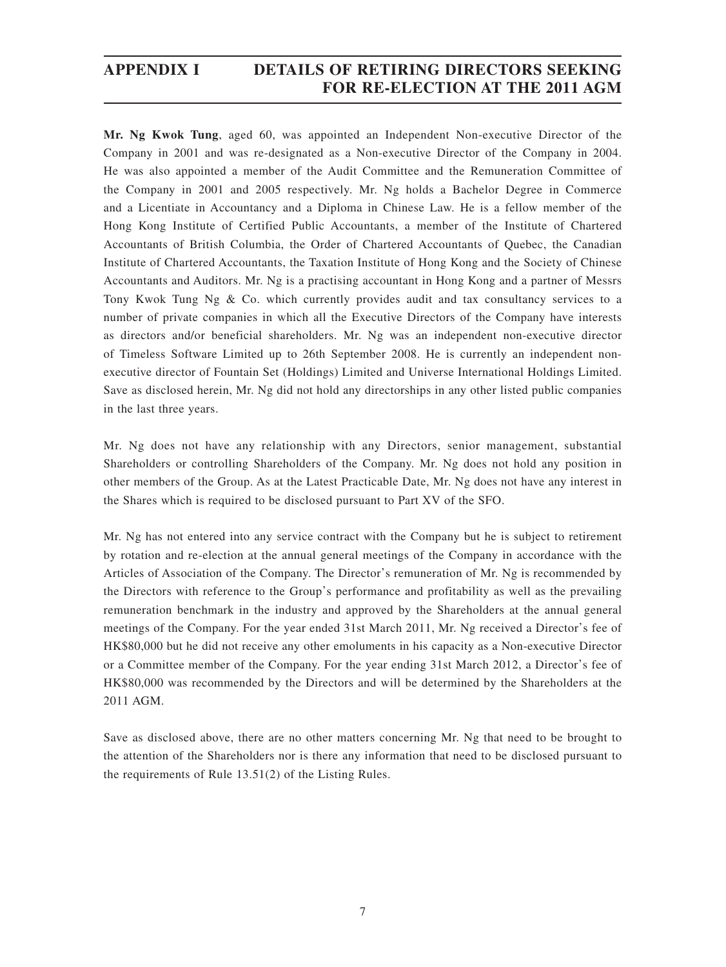## **APPENDIX I DETAILS OF RETIRING DIRECTORS SEEKING FOR RE-ELECTION AT THE 2011 AGM**

**Mr. Ng Kwok Tung**, aged 60, was appointed an Independent Non-executive Director of the Company in 2001 and was re-designated as a Non-executive Director of the Company in 2004. He was also appointed a member of the Audit Committee and the Remuneration Committee of the Company in 2001 and 2005 respectively. Mr. Ng holds a Bachelor Degree in Commerce and a Licentiate in Accountancy and a Diploma in Chinese Law. He is a fellow member of the Hong Kong Institute of Certified Public Accountants, a member of the Institute of Chartered Accountants of British Columbia, the Order of Chartered Accountants of Quebec, the Canadian Institute of Chartered Accountants, the Taxation Institute of Hong Kong and the Society of Chinese Accountants and Auditors. Mr. Ng is a practising accountant in Hong Kong and a partner of Messrs Tony Kwok Tung Ng & Co. which currently provides audit and tax consultancy services to a number of private companies in which all the Executive Directors of the Company have interests as directors and/or beneficial shareholders. Mr. Ng was an independent non-executive director of Timeless Software Limited up to 26th September 2008. He is currently an independent nonexecutive director of Fountain Set (Holdings) Limited and Universe International Holdings Limited. Save as disclosed herein, Mr. Ng did not hold any directorships in any other listed public companies in the last three years.

Mr. Ng does not have any relationship with any Directors, senior management, substantial Shareholders or controlling Shareholders of the Company. Mr. Ng does not hold any position in other members of the Group. As at the Latest Practicable Date, Mr. Ng does not have any interest in the Shares which is required to be disclosed pursuant to Part XV of the SFO.

Mr. Ng has not entered into any service contract with the Company but he is subject to retirement by rotation and re-election at the annual general meetings of the Company in accordance with the Articles of Association of the Company. The Director's remuneration of Mr. Ng is recommended by the Directors with reference to the Group's performance and profitability as well as the prevailing remuneration benchmark in the industry and approved by the Shareholders at the annual general meetings of the Company. For the year ended 31st March 2011, Mr. Ng received a Director's fee of HK\$80,000 but he did not receive any other emoluments in his capacity as a Non-executive Director or a Committee member of the Company. For the year ending 31st March 2012, a Director's fee of HK\$80,000 was recommended by the Directors and will be determined by the Shareholders at the 2011 AGM.

Save as disclosed above, there are no other matters concerning Mr. Ng that need to be brought to the attention of the Shareholders nor is there any information that need to be disclosed pursuant to the requirements of Rule 13.51(2) of the Listing Rules.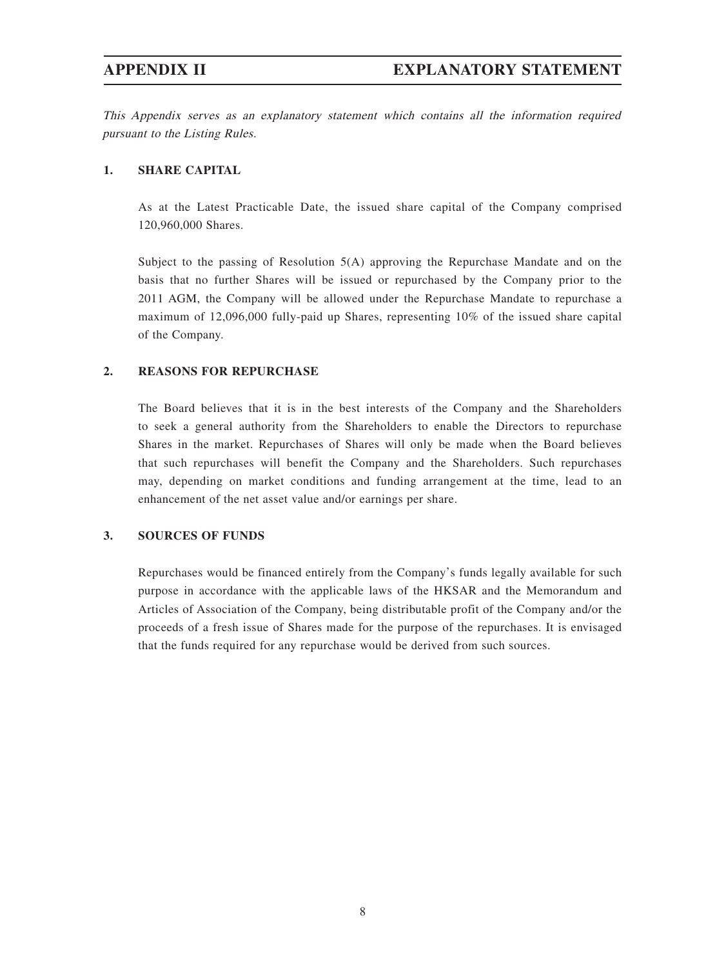This Appendix serves as an explanatory statement which contains all the information required pursuant to the Listing Rules.

### **1. SHARE CAPITAL**

As at the Latest Practicable Date, the issued share capital of the Company comprised 120,960,000 Shares.

Subject to the passing of Resolution 5(A) approving the Repurchase Mandate and on the basis that no further Shares will be issued or repurchased by the Company prior to the 2011 AGM, the Company will be allowed under the Repurchase Mandate to repurchase a maximum of 12,096,000 fully-paid up Shares, representing 10% of the issued share capital of the Company.

### **2. REASONS FOR REPURCHASE**

The Board believes that it is in the best interests of the Company and the Shareholders to seek a general authority from the Shareholders to enable the Directors to repurchase Shares in the market. Repurchases of Shares will only be made when the Board believes that such repurchases will benefit the Company and the Shareholders. Such repurchases may, depending on market conditions and funding arrangement at the time, lead to an enhancement of the net asset value and/or earnings per share.

### **3. SOURCES OF FUNDS**

Repurchases would be financed entirely from the Company's funds legally available for such purpose in accordance with the applicable laws of the HKSAR and the Memorandum and Articles of Association of the Company, being distributable profit of the Company and/or the proceeds of a fresh issue of Shares made for the purpose of the repurchases. It is envisaged that the funds required for any repurchase would be derived from such sources.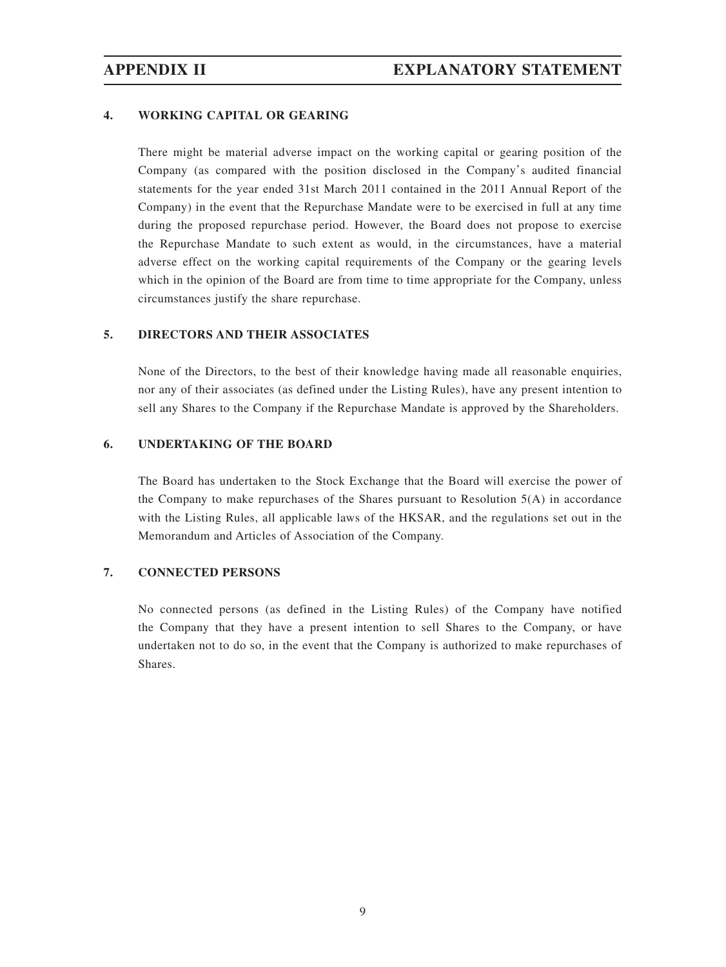## **4. WORKING CAPITAL OR GEARING**

There might be material adverse impact on the working capital or gearing position of the Company (as compared with the position disclosed in the Company's audited financial statements for the year ended 31st March 2011 contained in the 2011 Annual Report of the Company) in the event that the Repurchase Mandate were to be exercised in full at any time during the proposed repurchase period. However, the Board does not propose to exercise the Repurchase Mandate to such extent as would, in the circumstances, have a material adverse effect on the working capital requirements of the Company or the gearing levels which in the opinion of the Board are from time to time appropriate for the Company, unless circumstances justify the share repurchase.

### **5. DIRECTORS AND THEIR ASSOCIATES**

None of the Directors, to the best of their knowledge having made all reasonable enquiries, nor any of their associates (as defined under the Listing Rules), have any present intention to sell any Shares to the Company if the Repurchase Mandate is approved by the Shareholders.

### **6. UNDERTAKING OF THE BOARD**

The Board has undertaken to the Stock Exchange that the Board will exercise the power of the Company to make repurchases of the Shares pursuant to Resolution  $5(A)$  in accordance with the Listing Rules, all applicable laws of the HKSAR, and the regulations set out in the Memorandum and Articles of Association of the Company.

### **7. CONNECTED PERSONS**

No connected persons (as defined in the Listing Rules) of the Company have notified the Company that they have a present intention to sell Shares to the Company, or have undertaken not to do so, in the event that the Company is authorized to make repurchases of Shares.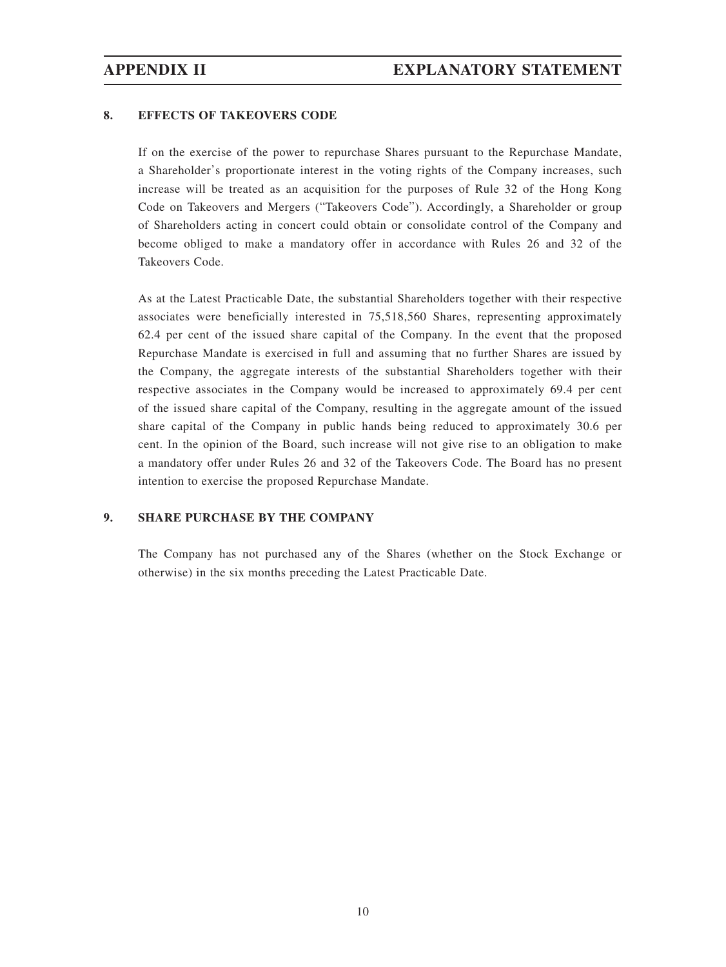### **8. EFFECTS OF TAKEOVERS CODE**

If on the exercise of the power to repurchase Shares pursuant to the Repurchase Mandate, a Shareholder's proportionate interest in the voting rights of the Company increases, such increase will be treated as an acquisition for the purposes of Rule 32 of the Hong Kong Code on Takeovers and Mergers ("Takeovers Code"). Accordingly, a Shareholder or group of Shareholders acting in concert could obtain or consolidate control of the Company and become obliged to make a mandatory offer in accordance with Rules 26 and 32 of the Takeovers Code.

As at the Latest Practicable Date, the substantial Shareholders together with their respective associates were beneficially interested in 75,518,560 Shares, representing approximately 62.4 per cent of the issued share capital of the Company. In the event that the proposed Repurchase Mandate is exercised in full and assuming that no further Shares are issued by the Company, the aggregate interests of the substantial Shareholders together with their respective associates in the Company would be increased to approximately 69.4 per cent of the issued share capital of the Company, resulting in the aggregate amount of the issued share capital of the Company in public hands being reduced to approximately 30.6 per cent. In the opinion of the Board, such increase will not give rise to an obligation to make a mandatory offer under Rules 26 and 32 of the Takeovers Code. The Board has no present intention to exercise the proposed Repurchase Mandate.

### **9. SHARE PURCHASE BY THE COMPANY**

The Company has not purchased any of the Shares (whether on the Stock Exchange or otherwise) in the six months preceding the Latest Practicable Date.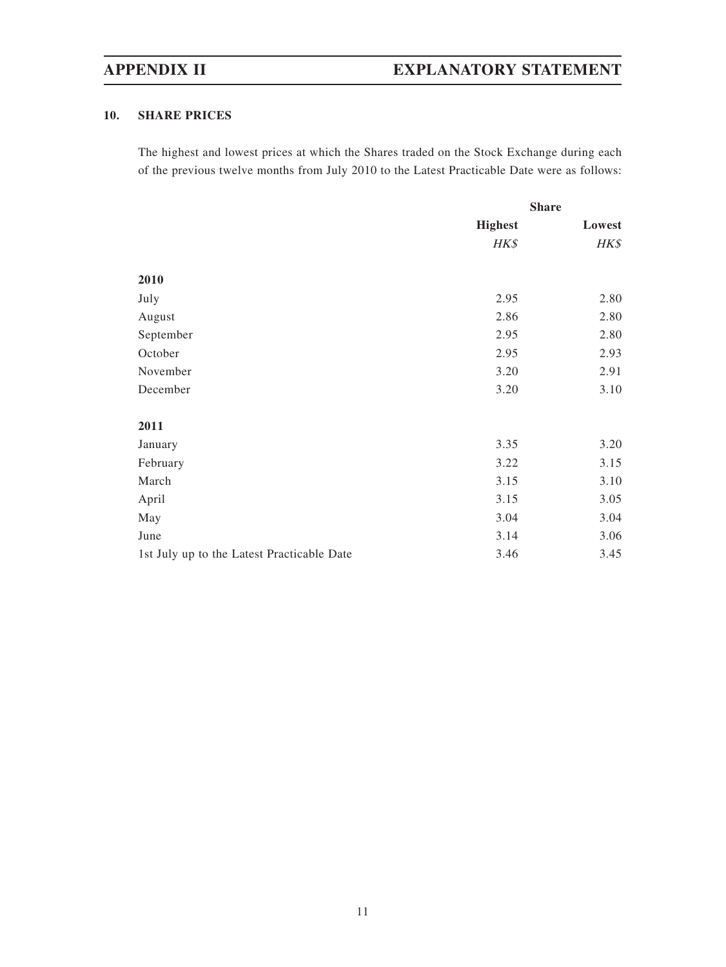# **APPENDIX II EXPLANATORY STATEMENT**

## **10. SHARE PRICES**

The highest and lowest prices at which the Shares traded on the Stock Exchange during each of the previous twelve months from July 2010 to the Latest Practicable Date were as follows:

|                                            | <b>Share</b>   |        |
|--------------------------------------------|----------------|--------|
|                                            | <b>Highest</b> | Lowest |
|                                            | HK\$           | HK\$   |
| 2010                                       |                |        |
|                                            | 2.95           | 2.80   |
| July                                       |                |        |
| August                                     | 2.86           | 2.80   |
| September                                  | 2.95           | 2.80   |
| October                                    | 2.95           | 2.93   |
| November                                   | 3.20           | 2.91   |
| December                                   | 3.20           | 3.10   |
| 2011                                       |                |        |
| January                                    | 3.35           | 3.20   |
| February                                   | 3.22           | 3.15   |
| March                                      | 3.15           | 3.10   |
| April                                      | 3.15           | 3.05   |
| May                                        | 3.04           | 3.04   |
| June                                       | 3.14           | 3.06   |
| 1st July up to the Latest Practicable Date | 3.46           | 3.45   |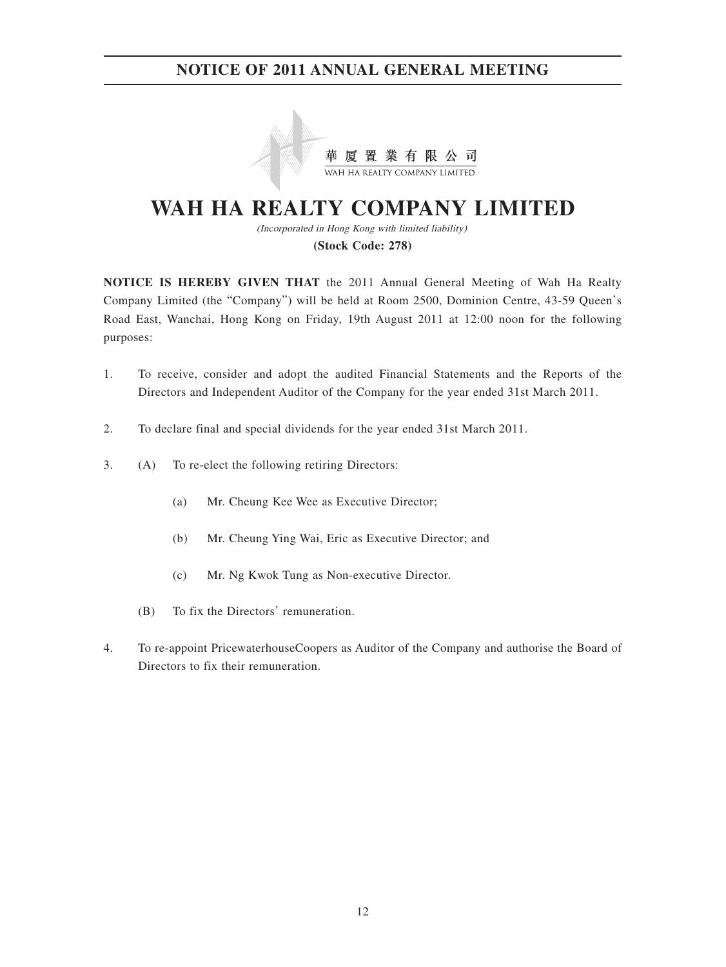

# **WAH HA REALTY COMPANY LIMITED**

(Incorporated in Hong Kong with limited liability) **(Stock Code: 278)**

**NOTICE IS HEREBY GIVEN THAT** the 2011 Annual General Meeting of Wah Ha Realty Company Limited (the "Company") will be held at Room 2500, Dominion Centre, 43-59 Queen's Road East, Wanchai, Hong Kong on Friday, 19th August 2011 at 12:00 noon for the following purposes:

- 1. To receive, consider and adopt the audited Financial Statements and the Reports of the Directors and Independent Auditor of the Company for the year ended 31st March 2011.
- 2. To declare final and special dividends for the year ended 31st March 2011.
- 3. (A) To re-elect the following retiring Directors:
	- (a) Mr. Cheung Kee Wee as Executive Director;
	- (b) Mr. Cheung Ying Wai, Eric as Executive Director; and
	- (c) Mr. Ng Kwok Tung as Non-executive Director.
	- (B) To fix the Directors' remuneration.
- 4. To re-appoint PricewaterhouseCoopers as Auditor of the Company and authorise the Board of Directors to fix their remuneration.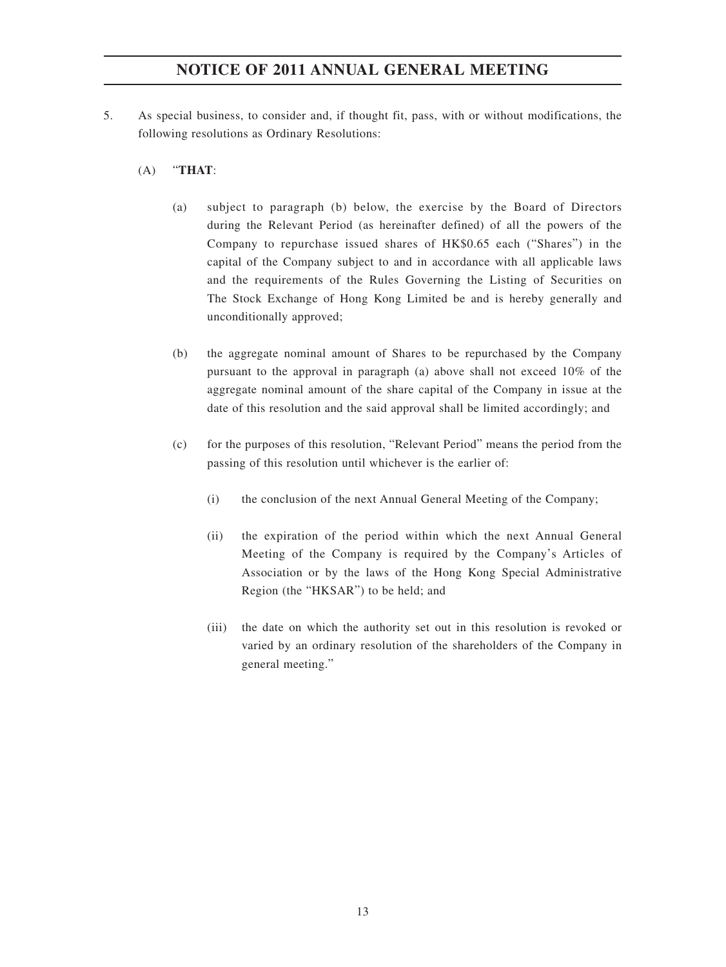- 5. As special business, to consider and, if thought fit, pass, with or without modifications, the following resolutions as Ordinary Resolutions:
	- (A) "**THAT**:
		- (a) subject to paragraph (b) below, the exercise by the Board of Directors during the Relevant Period (as hereinafter defined) of all the powers of the Company to repurchase issued shares of HK\$0.65 each ("Shares") in the capital of the Company subject to and in accordance with all applicable laws and the requirements of the Rules Governing the Listing of Securities on The Stock Exchange of Hong Kong Limited be and is hereby generally and unconditionally approved;
		- (b) the aggregate nominal amount of Shares to be repurchased by the Company pursuant to the approval in paragraph (a) above shall not exceed 10% of the aggregate nominal amount of the share capital of the Company in issue at the date of this resolution and the said approval shall be limited accordingly; and
		- (c) for the purposes of this resolution, "Relevant Period" means the period from the passing of this resolution until whichever is the earlier of:
			- (i) the conclusion of the next Annual General Meeting of the Company;
			- (ii) the expiration of the period within which the next Annual General Meeting of the Company is required by the Company's Articles of Association or by the laws of the Hong Kong Special Administrative Region (the "HKSAR") to be held; and
			- (iii) the date on which the authority set out in this resolution is revoked or varied by an ordinary resolution of the shareholders of the Company in general meeting."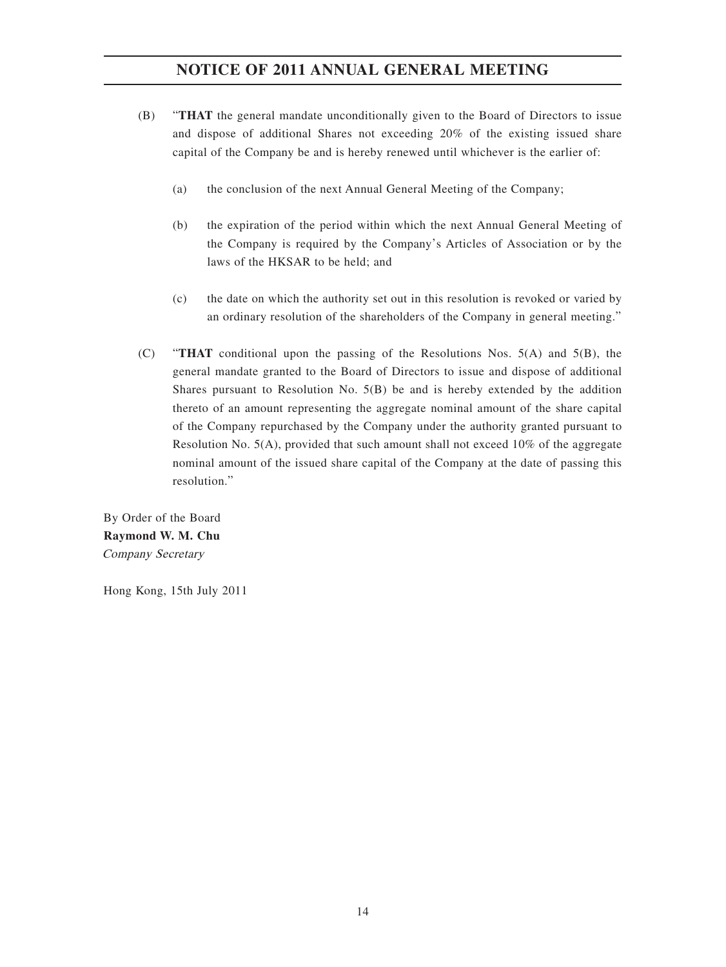- (B) "**THAT** the general mandate unconditionally given to the Board of Directors to issue and dispose of additional Shares not exceeding 20% of the existing issued share capital of the Company be and is hereby renewed until whichever is the earlier of:
	- (a) the conclusion of the next Annual General Meeting of the Company;
	- (b) the expiration of the period within which the next Annual General Meeting of the Company is required by the Company's Articles of Association or by the laws of the HKSAR to be held; and
	- (c) the date on which the authority set out in this resolution is revoked or varied by an ordinary resolution of the shareholders of the Company in general meeting."
- (C) "**THAT** conditional upon the passing of the Resolutions Nos. 5(A) and 5(B), the general mandate granted to the Board of Directors to issue and dispose of additional Shares pursuant to Resolution No. 5(B) be and is hereby extended by the addition thereto of an amount representing the aggregate nominal amount of the share capital of the Company repurchased by the Company under the authority granted pursuant to Resolution No. 5(A), provided that such amount shall not exceed 10% of the aggregate nominal amount of the issued share capital of the Company at the date of passing this resolution."

By Order of the Board **Raymond W. M. Chu** Company Secretary

Hong Kong, 15th July 2011